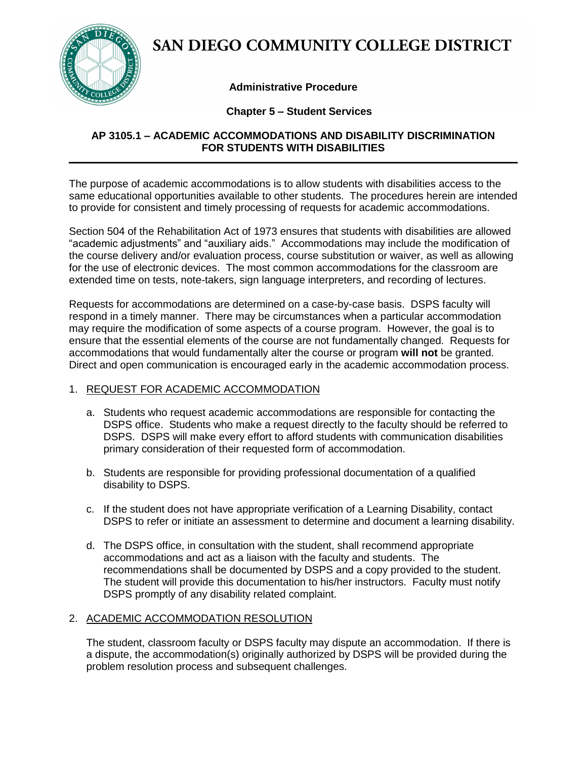

# SAN DIEGO COMMUNITY COLLEGE DISTRICT

## **Administrative Procedure**

## **Chapter 5 – Student Services**

## **AP 3105.1 – ACADEMIC ACCOMMODATIONS AND DISABILITY DISCRIMINATION FOR STUDENTS WITH DISABILITIES**

The purpose of academic accommodations is to allow students with disabilities access to the same educational opportunities available to other students. The procedures herein are intended to provide for consistent and timely processing of requests for academic accommodations.

Section 504 of the Rehabilitation Act of 1973 ensures that students with disabilities are allowed "academic adjustments" and "auxiliary aids." Accommodations may include the modification of the course delivery and/or evaluation process, course substitution or waiver, as well as allowing for the use of electronic devices. The most common accommodations for the classroom are extended time on tests, note-takers, sign language interpreters, and recording of lectures.

Requests for accommodations are determined on a case-by-case basis. DSPS faculty will respond in a timely manner. There may be circumstances when a particular accommodation may require the modification of some aspects of a course program. However, the goal is to ensure that the essential elements of the course are not fundamentally changed. Requests for accommodations that would fundamentally alter the course or program **will not** be granted. Direct and open communication is encouraged early in the academic accommodation process.

#### 1. REQUEST FOR ACADEMIC ACCOMMODATION

- a. Students who request academic accommodations are responsible for contacting the DSPS office. Students who make a request directly to the faculty should be referred to DSPS. DSPS will make every effort to afford students with communication disabilities primary consideration of their requested form of accommodation.
- b. Students are responsible for providing professional documentation of a qualified disability to DSPS.
- c. If the student does not have appropriate verification of a Learning Disability, contact DSPS to refer or initiate an assessment to determine and document a learning disability.
- d. The DSPS office, in consultation with the student, shall recommend appropriate accommodations and act as a liaison with the faculty and students. The recommendations shall be documented by DSPS and a copy provided to the student. The student will provide this documentation to his/her instructors. Faculty must notify DSPS promptly of any disability related complaint.

## 2. ACADEMIC ACCOMMODATION RESOLUTION

The student, classroom faculty or DSPS faculty may dispute an accommodation. If there is a dispute, the accommodation(s) originally authorized by DSPS will be provided during the problem resolution process and subsequent challenges.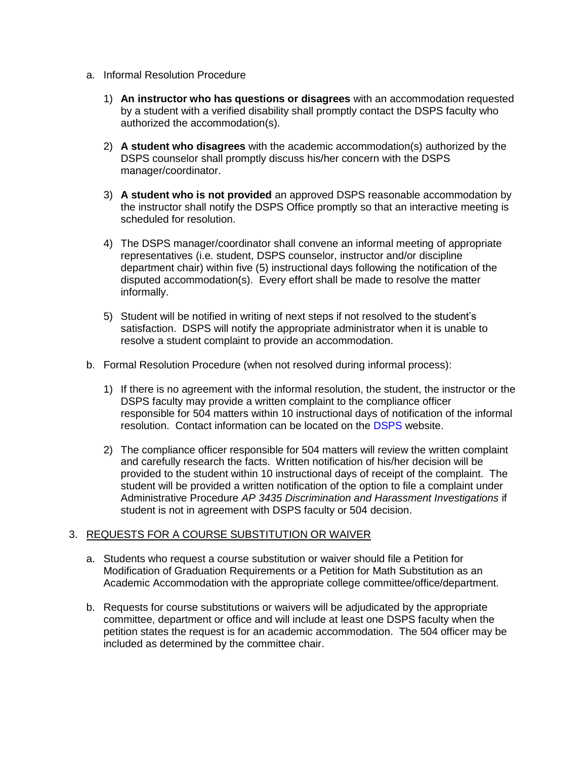- a. Informal Resolution Procedure
	- 1) **An instructor who has questions or disagrees** with an accommodation requested by a student with a verified disability shall promptly contact the DSPS faculty who authorized the accommodation(s).
	- 2) **A student who disagrees** with the academic accommodation(s) authorized by the DSPS counselor shall promptly discuss his/her concern with the DSPS manager/coordinator.
	- 3) **A student who is not provided** an approved DSPS reasonable accommodation by the instructor shall notify the DSPS Office promptly so that an interactive meeting is scheduled for resolution.
	- 4) The DSPS manager/coordinator shall convene an informal meeting of appropriate representatives (i.e. student, DSPS counselor, instructor and/or discipline department chair) within five (5) instructional days following the notification of the disputed accommodation(s). Every effort shall be made to resolve the matter informally.
	- 5) Student will be notified in writing of next steps if not resolved to the student's satisfaction. DSPS will notify the appropriate administrator when it is unable to resolve a student complaint to provide an accommodation.
- b. Formal Resolution Procedure (when not resolved during informal process):
	- 1) If there is no agreement with the informal resolution, the student, the instructor or the DSPS faculty may provide a written complaint to the compliance officer responsible for 504 matters within 10 instructional days of notification of the informal resolution. Contact information can be located on the [DSPS](http://dsps.sdccd.edu/studentrights.html) website.
	- 2) The compliance officer responsible for 504 matters will review the written complaint and carefully research the facts. Written notification of his/her decision will be provided to the student within 10 instructional days of receipt of the complaint. The student will be provided a written notification of the option to file a complaint under Administrative Procedure *AP 3435 Discrimination and Harassment Investigations* if student is not in agreement with DSPS faculty or 504 decision.

#### 3. REQUESTS FOR A COURSE SUBSTITUTION OR WAIVER

- a. Students who request a course substitution or waiver should file a Petition for Modification of Graduation Requirements or a Petition for Math Substitution as an Academic Accommodation with the appropriate college committee/office/department.
- b. Requests for course substitutions or waivers will be adjudicated by the appropriate committee, department or office and will include at least one DSPS faculty when the petition states the request is for an academic accommodation. The 504 officer may be included as determined by the committee chair.